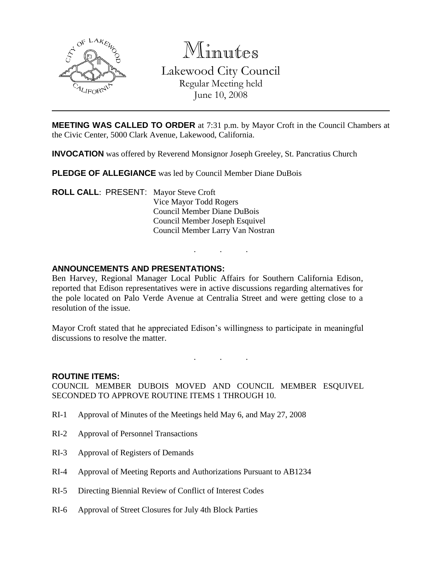

Minutes Lakewood City Council Regular Meeting held

June 10, 2008

**MEETING WAS CALLED TO ORDER** at 7:31 p.m. by Mayor Croft in the Council Chambers at the Civic Center, 5000 Clark Avenue, Lakewood, California.

**INVOCATION** was offered by Reverend Monsignor Joseph Greeley, St. Pancratius Church

**PLEDGE OF ALLEGIANCE** was led by Council Member Diane DuBois

**ROLL CALL**: PRESENT: Mayor Steve Croft Vice Mayor Todd Rogers Council Member Diane DuBois Council Member Joseph Esquivel Council Member Larry Van Nostran

# **ANNOUNCEMENTS AND PRESENTATIONS:**

Ben Harvey, Regional Manager Local Public Affairs for Southern California Edison, reported that Edison representatives were in active discussions regarding alternatives for the pole located on Palo Verde Avenue at Centralia Street and were getting close to a resolution of the issue.

. . .

Mayor Croft stated that he appreciated Edison's willingness to participate in meaningful discussions to resolve the matter.

. . .

### **ROUTINE ITEMS:**

COUNCIL MEMBER DUBOIS MOVED AND COUNCIL MEMBER ESQUIVEL SECONDED TO APPROVE ROUTINE ITEMS 1 THROUGH 10.

- RI-1 Approval of Minutes of the Meetings held May 6, and May 27, 2008
- RI-2 Approval of Personnel Transactions
- RI-3 Approval of Registers of Demands
- RI-4 Approval of Meeting Reports and Authorizations Pursuant to AB1234
- RI-5 Directing Biennial Review of Conflict of Interest Codes
- RI-6 Approval of Street Closures for July 4th Block Parties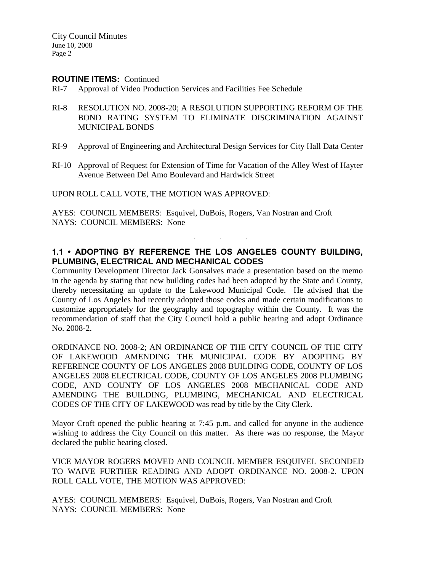City Council Minutes June 10, 2008 Page 2

### **ROUTINE ITEMS:** Continued

- RI-7 Approval of Video Production Services and Facilities Fee Schedule
- RI-8 RESOLUTION NO. 2008-20; A RESOLUTION SUPPORTING REFORM OF THE BOND RATING SYSTEM TO ELIMINATE DISCRIMINATION AGAINST MUNICIPAL BONDS
- RI-9 Approval of Engineering and Architectural Design Services for City Hall Data Center
- RI-10 Approval of Request for Extension of Time for Vacation of the Alley West of Hayter Avenue Between Del Amo Boulevard and Hardwick Street

UPON ROLL CALL VOTE, THE MOTION WAS APPROVED:

AYES: COUNCIL MEMBERS: Esquivel, DuBois, Rogers, Van Nostran and Croft NAYS: COUNCIL MEMBERS: None

# **1.1 • ADOPTING BY REFERENCE THE LOS ANGELES COUNTY BUILDING, PLUMBING, ELECTRICAL AND MECHANICAL CODES**

. . .

Community Development Director Jack Gonsalves made a presentation based on the memo in the agenda by stating that new building codes had been adopted by the State and County, thereby necessitating an update to the Lakewood Municipal Code. He advised that the County of Los Angeles had recently adopted those codes and made certain modifications to customize appropriately for the geography and topography within the County. It was the recommendation of staff that the City Council hold a public hearing and adopt Ordinance No. 2008-2.

ORDINANCE NO. 2008-2; AN ORDINANCE OF THE CITY COUNCIL OF THE CITY OF LAKEWOOD AMENDING THE MUNICIPAL CODE BY ADOPTING BY REFERENCE COUNTY OF LOS ANGELES 2008 BUILDING CODE, COUNTY OF LOS ANGELES 2008 ELECTRICAL CODE, COUNTY OF LOS ANGELES 2008 PLUMBING CODE, AND COUNTY OF LOS ANGELES 2008 MECHANICAL CODE AND AMENDING THE BUILDING, PLUMBING, MECHANICAL AND ELECTRICAL CODES OF THE CITY OF LAKEWOOD was read by title by the City Clerk.

Mayor Croft opened the public hearing at 7:45 p.m. and called for anyone in the audience wishing to address the City Council on this matter. As there was no response, the Mayor declared the public hearing closed.

VICE MAYOR ROGERS MOVED AND COUNCIL MEMBER ESQUIVEL SECONDED TO WAIVE FURTHER READING AND ADOPT ORDINANCE NO. 2008-2. UPON ROLL CALL VOTE, THE MOTION WAS APPROVED:

AYES: COUNCIL MEMBERS: Esquivel, DuBois, Rogers, Van Nostran and Croft NAYS: COUNCIL MEMBERS: None